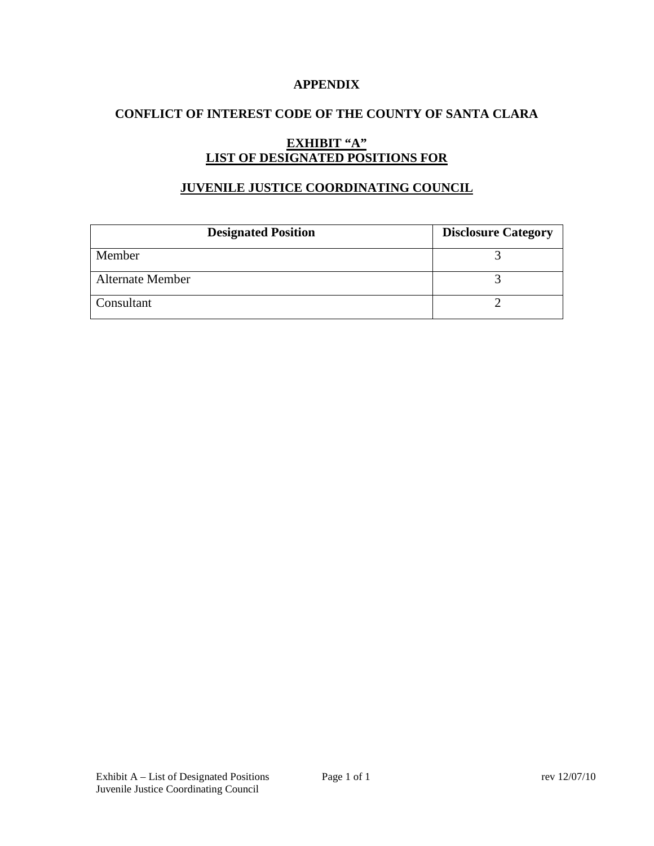## **APPENDIX**

## **CONFLICT OF INTEREST CODE OF THE COUNTY OF SANTA CLARA**

# **EXHIBIT "A" LIST OF DESIGNATED POSITIONS FOR**

## **JUVENILE JUSTICE COORDINATING COUNCIL**

| <b>Designated Position</b> | <b>Disclosure Category</b> |
|----------------------------|----------------------------|
| Member                     |                            |
| <b>Alternate Member</b>    |                            |
| Consultant                 |                            |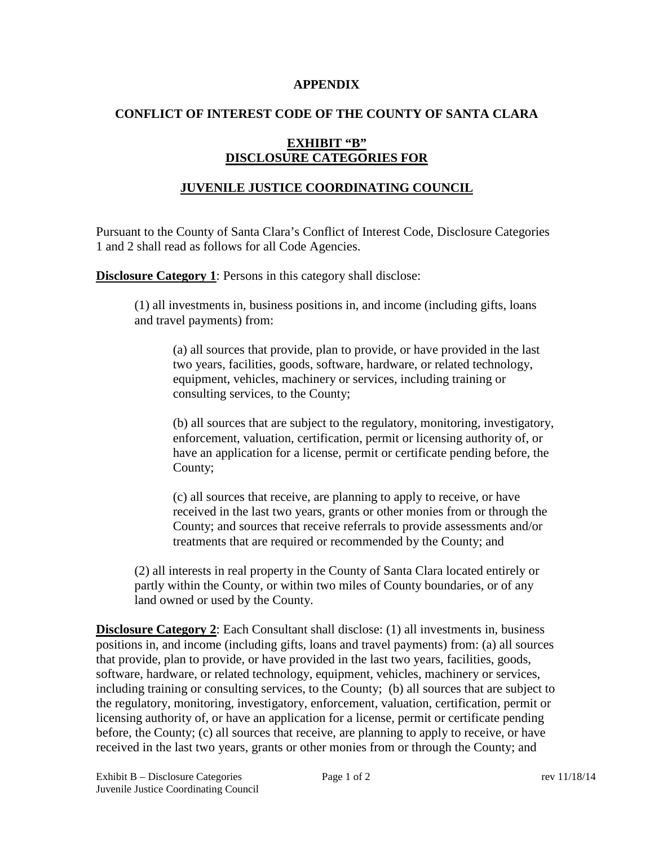#### **APPENDIX**

## **CONFLICT OF INTEREST CODE OF THE COUNTY OF SANTA CLARA**

## **EXHIBIT "B" DISCLOSURE CATEGORIES FOR**

## **JUVENILE JUSTICE COORDINATING COUNCIL**

Pursuant to the County of Santa Clara's Conflict of Interest Code, Disclosure Categories 1 and 2 shall read as follows for all Code Agencies.

**Disclosure Category 1:** Persons in this category shall disclose:

(1) all investments in, business positions in, and income (including gifts, loans and travel payments) from:

(a) all sources that provide, plan to provide, or have provided in the last two years, facilities, goods, software, hardware, or related technology, equipment, vehicles, machinery or services, including training or consulting services, to the County;

(b) all sources that are subject to the regulatory, monitoring, investigatory, enforcement, valuation, certification, permit or licensing authority of, or have an application for a license, permit or certificate pending before, the County;

(c) all sources that receive, are planning to apply to receive, or have received in the last two years, grants or other monies from or through the County; and sources that receive referrals to provide assessments and/or treatments that are required or recommended by the County; and

(2) all interests in real property in the County of Santa Clara located entirely or partly within the County, or within two miles of County boundaries, or of any land owned or used by the County.

**Disclosure Category 2:** Each Consultant shall disclose: (1) all investments in, business positions in, and income (including gifts, loans and travel payments) from: (a) all sources that provide, plan to provide, or have provided in the last two years, facilities, goods, software, hardware, or related technology, equipment, vehicles, machinery or services, including training or consulting services, to the County; (b) all sources that are subject to the regulatory, monitoring, investigatory, enforcement, valuation, certification, permit or licensing authority of, or have an application for a license, permit or certificate pending before, the County; (c) all sources that receive, are planning to apply to receive, or have received in the last two years, grants or other monies from or through the County; and